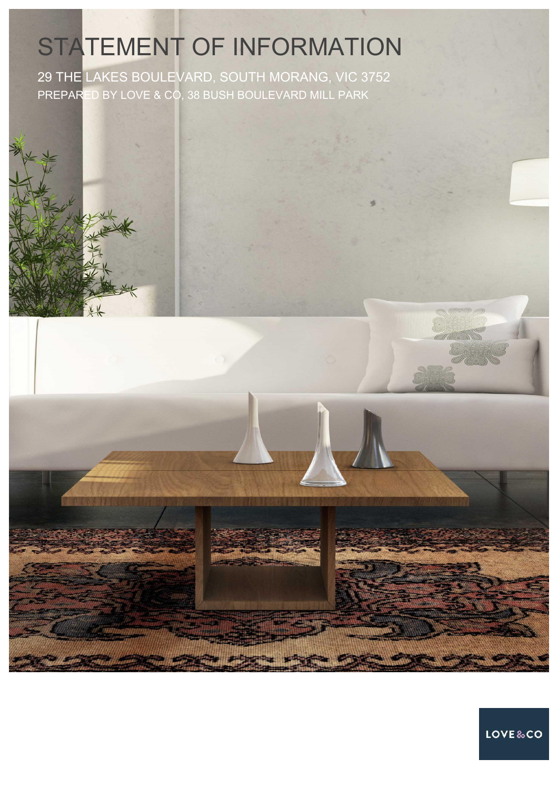# STATEMENT OF INFORMATION

29 THE LAKES BOULEVARD, SOUTH MORANG, VIC 3752 PREPARED BY LOVE & CO, 38 BUSH BOULEVARD MILL PARK